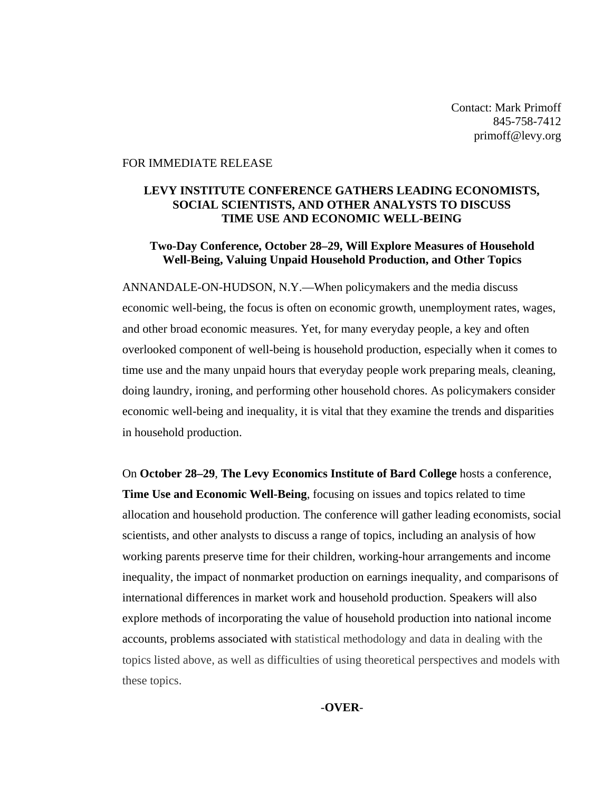Contact: Mark Primoff 845-758-7412 primoff@levy.org

#### FOR IMMEDIATE RELEASE

### **LEVY INSTITUTE CONFERENCE GATHERS LEADING ECONOMISTS, SOCIAL SCIENTISTS, AND OTHER ANALYSTS TO DISCUSS TIME USE AND ECONOMIC WELL-BEING**

#### **Two-Day Conference, October 28–29, Will Explore Measures of Household Well-Being, Valuing Unpaid Household Production, and Other Topics**

ANNANDALE-ON-HUDSON, N.Y.—When policymakers and the media discuss economic well-being, the focus is often on economic growth, unemployment rates, wages, and other broad economic measures. Yet, for many everyday people, a key and often overlooked component of well-being is household production, especially when it comes to time use and the many unpaid hours that everyday people work preparing meals, cleaning, doing laundry, ironing, and performing other household chores. As policymakers consider economic well-being and inequality, it is vital that they examine the trends and disparities in household production.

On **October 28–29**, **The Levy Economics Institute of Bard College** hosts a conference, **Time Use and Economic Well-Being**, focusing on issues and topics related to time allocation and household production. The conference will gather leading economists, social scientists, and other analysts to discuss a range of topics, including an analysis of how working parents preserve time for their children, working-hour arrangements and income inequality, the impact of nonmarket production on earnings inequality, and comparisons of international differences in market work and household production. Speakers will also explore methods of incorporating the value of household production into national income accounts, problems associated with statistical methodology and data in dealing with the topics listed above, as well as difficulties of using theoretical perspectives and models with these topics.

*-***OVER***-*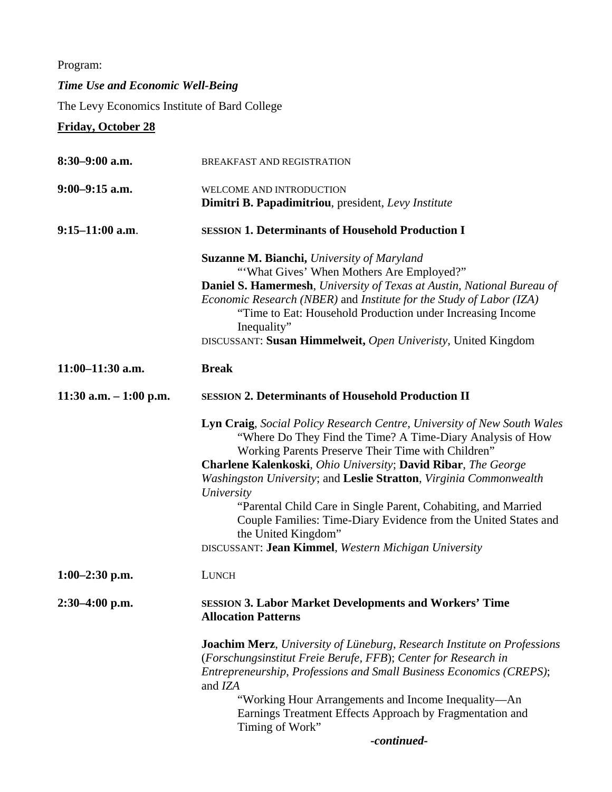Program:

# *Time Use and Economic Well-Being*

The Levy Economics Institute of Bard College

**Friday, October 28**

| $8:30-9:00$ a.m.        | BREAKFAST AND REGISTRATION                                                                                                                                                                                                                                                                                                                                                                                                                                                                                                                                                  |
|-------------------------|-----------------------------------------------------------------------------------------------------------------------------------------------------------------------------------------------------------------------------------------------------------------------------------------------------------------------------------------------------------------------------------------------------------------------------------------------------------------------------------------------------------------------------------------------------------------------------|
| $9:00-9:15$ a.m.        | WELCOME AND INTRODUCTION                                                                                                                                                                                                                                                                                                                                                                                                                                                                                                                                                    |
|                         | Dimitri B. Papadimitriou, president, Levy Institute                                                                                                                                                                                                                                                                                                                                                                                                                                                                                                                         |
| $9:15-11:00$ a.m.       | <b>SESSION 1. Determinants of Household Production I</b>                                                                                                                                                                                                                                                                                                                                                                                                                                                                                                                    |
|                         | <b>Suzanne M. Bianchi, University of Maryland</b><br>"'What Gives' When Mothers Are Employed?"<br>Daniel S. Hamermesh, University of Texas at Austin, National Bureau of<br>Economic Research (NBER) and Institute for the Study of Labor (IZA)<br>"Time to Eat: Household Production under Increasing Income                                                                                                                                                                                                                                                               |
|                         | Inequality"<br>DISCUSSANT: Susan Himmelweit, Open Univeristy, United Kingdom                                                                                                                                                                                                                                                                                                                                                                                                                                                                                                |
| $11:00-11:30$ a.m.      | <b>Break</b>                                                                                                                                                                                                                                                                                                                                                                                                                                                                                                                                                                |
| 11:30 a.m. $-1:00$ p.m. | <b>SESSION 2. Determinants of Household Production II</b>                                                                                                                                                                                                                                                                                                                                                                                                                                                                                                                   |
|                         | <b>Lyn Craig, Social Policy Research Centre, University of New South Wales</b><br>"Where Do They Find the Time? A Time-Diary Analysis of How<br>Working Parents Preserve Their Time with Children"<br>Charlene Kalenkoski, Ohio University; David Ribar, The George<br>Washingston University; and Leslie Stratton, Virginia Commonwealth<br>University<br>"Parental Child Care in Single Parent, Cohabiting, and Married<br>Couple Families: Time-Diary Evidence from the United States and<br>the United Kingdom"<br>DISCUSSANT: Jean Kimmel, Western Michigan University |
| $1:00-2:30$ p.m.        | <b>LUNCH</b>                                                                                                                                                                                                                                                                                                                                                                                                                                                                                                                                                                |
| $2:30-4:00$ p.m.        | <b>SESSION 3. Labor Market Developments and Workers' Time</b><br><b>Allocation Patterns</b>                                                                                                                                                                                                                                                                                                                                                                                                                                                                                 |
|                         | <b>Joachim Merz</b> , University of Lüneburg, Research Institute on Professions<br>(Forschungsinstitut Freie Berufe, FFB); Center for Research in<br>Entrepreneurship, Professions and Small Business Economics (CREPS);<br>and IZA<br>"Working Hour Arrangements and Income Inequality—An<br>Earnings Treatment Effects Approach by Fragmentation and<br>Timing of Work"                                                                                                                                                                                                   |
|                         | -continued-                                                                                                                                                                                                                                                                                                                                                                                                                                                                                                                                                                 |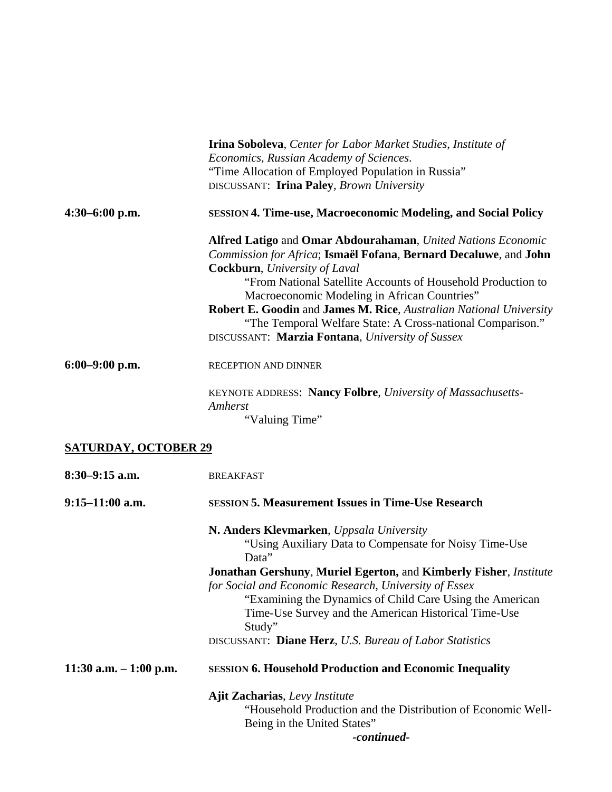|                             | <b>Irina Soboleva, Center for Labor Market Studies, Institute of</b><br>Economics, Russian Academy of Sciences.<br>"Time Allocation of Employed Population in Russia"<br>DISCUSSANT: Irina Paley, Brown University                                                                                                                                                                                                                                                                       |
|-----------------------------|------------------------------------------------------------------------------------------------------------------------------------------------------------------------------------------------------------------------------------------------------------------------------------------------------------------------------------------------------------------------------------------------------------------------------------------------------------------------------------------|
| $4:30-6:00$ p.m.            | <b>SESSION 4. Time-use, Macroeconomic Modeling, and Social Policy</b>                                                                                                                                                                                                                                                                                                                                                                                                                    |
|                             | Alfred Latigo and Omar Abdourahaman, United Nations Economic<br>Commission for Africa; Ismaël Fofana, Bernard Decaluwe, and John<br><b>Cockburn</b> , University of Laval<br>"From National Satellite Accounts of Household Production to<br>Macroeconomic Modeling in African Countries"<br><b>Robert E. Goodin and James M. Rice, Australian National University</b><br>"The Temporal Welfare State: A Cross-national Comparison."<br>DISCUSSANT: Marzia Fontana, University of Sussex |
| $6:00-9:00$ p.m.            | RECEPTION AND DINNER                                                                                                                                                                                                                                                                                                                                                                                                                                                                     |
|                             | KEYNOTE ADDRESS: Nancy Folbre, University of Massachusetts-<br>Amherst<br>"Valuing Time"                                                                                                                                                                                                                                                                                                                                                                                                 |
| <b>SATURDAY, OCTOBER 29</b> |                                                                                                                                                                                                                                                                                                                                                                                                                                                                                          |
| $8:30-9:15$ a.m.            | <b>BREAKFAST</b>                                                                                                                                                                                                                                                                                                                                                                                                                                                                         |
| $9:15-11:00$ a.m.           | <b>SESSION 5. Measurement Issues in Time-Use Research</b>                                                                                                                                                                                                                                                                                                                                                                                                                                |
|                             | N. Anders Klevmarken, Uppsala University<br>"Using Auxiliary Data to Compensate for Noisy Time-Use<br>Data"<br><b>Jonathan Gershuny, Muriel Egerton, and Kimberly Fisher, Institute</b><br>for Social and Economic Research, University of Essex<br>"Examining the Dynamics of Child Care Using the American<br>Time-Use Survey and the American Historical Time-Use<br>Study"<br>DISCUSSANT: Diane Herz, U.S. Bureau of Labor Statistics                                                |
| 11:30 a.m. $-1:00$ p.m.     | <b>SESSION 6. Household Production and Economic Inequality</b>                                                                                                                                                                                                                                                                                                                                                                                                                           |

**Ajit Zacharias**, *Levy Institute* "Household Production and the Distribution of Economic Well-Being in the United States" *-continued-*